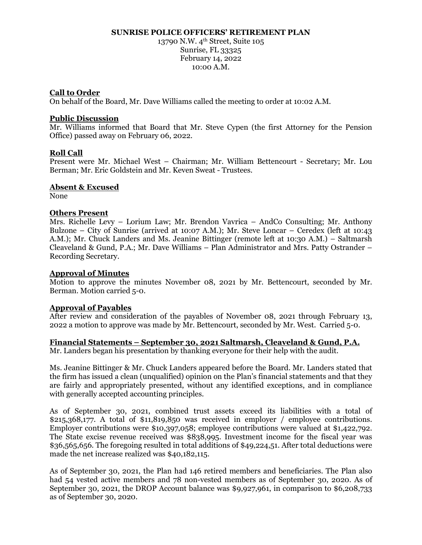#### **SUNRISE POLICE OFFICERS' RETIREMENT PLAN**

13790 N.W. 4<sup>th</sup> Street, Suite 105 Sunrise, FL 33325 February 14, 2022 10:00 A.M.

### **Call to Order**

On behalf of the Board, Mr. Dave Williams called the meeting to order at 10:02 A.M.

### **Public Discussion**

Mr. Williams informed that Board that Mr. Steve Cypen (the first Attorney for the Pension Office) passed away on February 06, 2022.

### **Roll Call**

Present were Mr. Michael West – Chairman; Mr. William Bettencourt - Secretary; Mr. Lou Berman; Mr. Eric Goldstein and Mr. Keven Sweat - Trustees.

#### **Absent & Excused**

None

#### **Others Present**

Mrs. Richelle Levy – Lorium Law; Mr. Brendon Vavrica – AndCo Consulting; Mr. Anthony Bulzone – City of Sunrise (arrived at 10:07 A.M.); Mr. Steve Loncar – Ceredex (left at 10:43 A.M.); Mr. Chuck Landers and Ms. Jeanine Bittinger (remote left at 10:30 A.M.) – Saltmarsh Cleaveland & Gund, P.A.; Mr. Dave Williams – Plan Administrator and Mrs. Patty Ostrander – Recording Secretary.

#### **Approval of Minutes**

Motion to approve the minutes November 08, 2021 by Mr. Bettencourt, seconded by Mr. Berman. Motion carried 5-0.

#### **Approval of Payables**

After review and consideration of the payables of November 08, 2021 through February 13, 2022 a motion to approve was made by Mr. Bettencourt, seconded by Mr. West. Carried 5-0.

### **Financial Statements – September 30, 2021 Saltmarsh, Cleaveland & Gund, P.A.**

Mr. Landers began his presentation by thanking everyone for their help with the audit.

Ms. Jeanine Bittinger & Mr. Chuck Landers appeared before the Board. Mr. Landers stated that the firm has issued a clean (unqualified) opinion on the Plan's financial statements and that they are fairly and appropriately presented, without any identified exceptions, and in compliance with generally accepted accounting principles.

As of September 30, 2021, combined trust assets exceed its liabilities with a total of \$215,368,177. A total of \$11,819,850 was received in employer / employee contributions. Employer contributions were \$10,397,058; employee contributions were valued at \$1,422,792. The State excise revenue received was \$838,995. Investment income for the fiscal year was \$36,565,656. The foregoing resulted in total additions of \$49,224,51. After total deductions were made the net increase realized was \$40,182,115.

As of September 30, 2021, the Plan had 146 retired members and beneficiaries. The Plan also had 54 vested active members and 78 non-vested members as of September 30, 2020. As of September 30, 2021, the DROP Account balance was \$9,927,961, in comparison to \$6,208,733 as of September 30, 2020.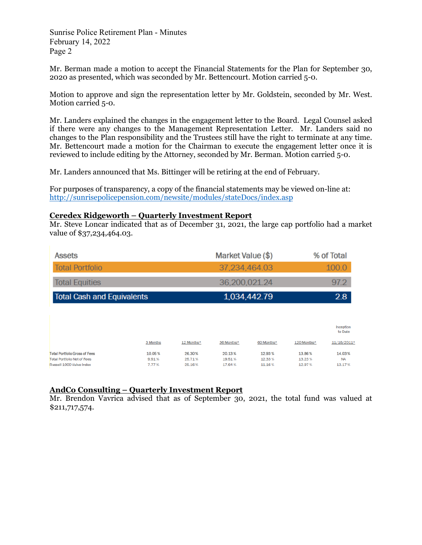Sunrise Police Retirement Plan - Minutes February 14, 2022 Page 2

Mr. Berman made a motion to accept the Financial Statements for the Plan for September 30, 2020 as presented, which was seconded by Mr. Bettencourt. Motion carried 5-0.

Motion to approve and sign the representation letter by Mr. Goldstein, seconded by Mr. West. Motion carried 5-0.

Mr. Landers explained the changes in the engagement letter to the Board. Legal Counsel asked if there were any changes to the Management Representation Letter. Mr. Landers said no changes to the Plan responsibility and the Trustees still have the right to terminate at any time. Mr. Bettencourt made a motion for the Chairman to execute the engagement letter once it is reviewed to include editing by the Attorney, seconded by Mr. Berman. Motion carried 5-0.

Mr. Landers announced that Ms. Bittinger will be retiring at the end of February.

For purposes of transparency, a copy of the financial statements may be viewed on-line at: <http://sunrisepolicepension.com/newsite/modules/stateDocs/index.asp>

## **Ceredex Ridgeworth – Quarterly Investment Report**

Mr. Steve Loncar indicated that as of December 31, 2021, the large cap portfolio had a market value of \$37,234,464.03.

| <b>Assets</b>                     | Market Value (\$) | % of Total           |
|-----------------------------------|-------------------|----------------------|
| <b>Total Portfolio</b>            | 37,234,464.03     | 100.0                |
| <b>Total Equities</b>             | 36,200,021.24     | 97.2                 |
| <b>Total Cash and Equivalents</b> | 1,034,442.79      | 2.8                  |
|                                   |                   |                      |
|                                   |                   | Inception<br>to Date |

| 3 Months | 12 Months* | 36 Months* | 60 Months* | 120 Months* | 11/16/2011* |
|----------|------------|------------|------------|-------------|-------------|
| 10.05%   | 26.30%     | 20.13%     | 12.93%     | 13.86%      | 14.03%      |
| 9.91%    | 25.71%     | 19.51%     | 12.33%     | 13.23%      | <b>NA</b>   |
| 7.77%    | 25.16%     | 17.64%     | 11.16%     | 12.97%      | 13.17%      |
|          |            |            |            |             |             |

# **AndCo Consulting – Quarterly Investment Report**

Mr. Brendon Vavrica advised that as of September 30, 2021, the total fund was valued at \$211,717,574.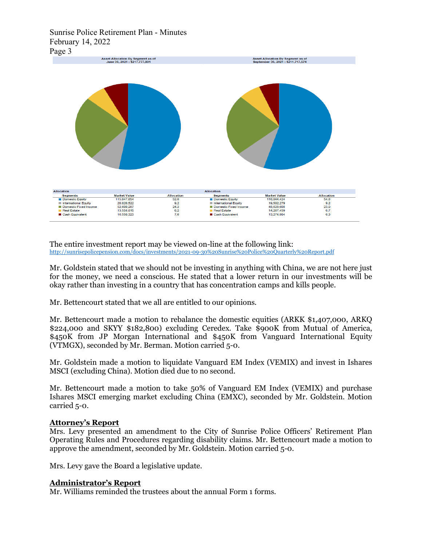## Sunrise Police Retirement Plan - Minutes February 14, 2022 Page 3



The entire investment report may be viewed on-line at the following link:<br>http://sunrisepolicepension.com/docs/investments/2021-09-30%20Sunrise%20Police%20Quarterly%20Report.pdf

Mr. Goldstein stated that we should not be investing in anything with China, we are not here just for the money, we need a conscious. He stated that a lower return in our investments will be okay rather than investing in a country that has concentration camps and kills people.

Mr. Bettencourt stated that we all are entitled to our opinions.

Mr. Bettencourt made a motion to rebalance the domestic equities (ARKK \$1,407,000, ARKQ \$224,000 and SKYY \$182,800) excluding Ceredex. Take \$900K from Mutual of America, \$450K from JP Morgan International and \$450K from Vanguard International Equity (VTMGX), seconded by Mr. Berman. Motion carried 5-0.

Mr. Goldstein made a motion to liquidate Vanguard EM Index (VEMIX) and invest in Ishares MSCI (excluding China). Motion died due to no second.

Mr. Bettencourt made a motion to take 50% of Vanguard EM Index (VEMIX) and purchase Ishares MSCI emerging market excluding China (EMXC), seconded by Mr. Goldstein. Motion carried 5-0.

## **Attorney's Report**

Mrs. Levy presented an amendment to the City of Sunrise Police Officers' Retirement Plan Operating Rules and Procedures regarding disability claims. Mr. Bettencourt made a motion to approve the amendment, seconded by Mr. Goldstein. Motion carried 5-0.

Mrs. Levy gave the Board a legislative update.

## **Administrator's Report**

Mr. Williams reminded the trustees about the annual Form 1 forms.